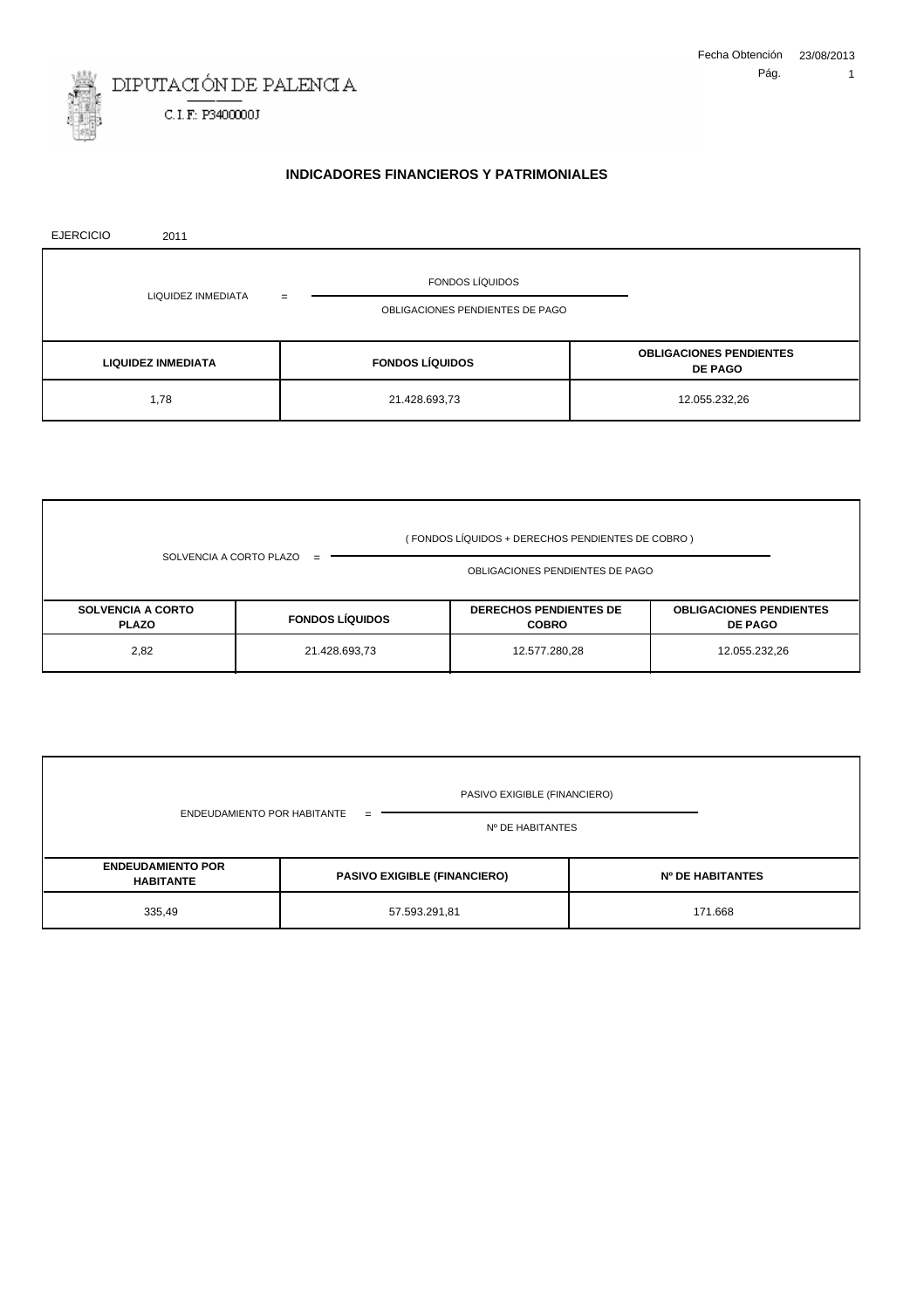

# **INDICADORES FINANCIEROS Y PATRIMONIALES**

| <b>EJERCICIO</b> | 2011                      |                                 |                                                  |
|------------------|---------------------------|---------------------------------|--------------------------------------------------|
|                  |                           | <b>FONDOS LÍQUIDOS</b>          |                                                  |
|                  | LIQUIDEZ INMEDIATA        | =                               |                                                  |
|                  |                           | OBLIGACIONES PENDIENTES DE PAGO |                                                  |
|                  |                           |                                 |                                                  |
|                  | <b>LIQUIDEZ INMEDIATA</b> | <b>FONDOS LÍQUIDOS</b>          | <b>OBLIGACIONES PENDIENTES</b><br><b>DE PAGO</b> |
|                  | 1,78                      | 21.428.693,73                   | 12.055.232,26                                    |

|                                          |                        | OBLIGACIONES PENDIENTES DE PAGO               |                                                  |
|------------------------------------------|------------------------|-----------------------------------------------|--------------------------------------------------|
| <b>SOLVENCIA A CORTO</b><br><b>PLAZO</b> | <b>FONDOS LÍQUIDOS</b> | <b>DERECHOS PENDIENTES DE</b><br><b>COBRO</b> | <b>OBLIGACIONES PENDIENTES</b><br><b>DE PAGO</b> |
| 2,82                                     | 21.428.693,73          | 12.577.280,28                                 | 12.055.232,26                                    |

|                                              | PASIVO EXIGIBLE (FINANCIERO)        |                         |
|----------------------------------------------|-------------------------------------|-------------------------|
| ENDEUDAMIENTO POR HABITANTE                  | $=$<br>Nº DE HABITANTES             |                         |
| <b>ENDEUDAMIENTO POR</b><br><b>HABITANTE</b> | <b>PASIVO EXIGIBLE (FINANCIERO)</b> | <b>Nº DE HABITANTES</b> |
| 335,49                                       | 57.593.291,81                       | 171.668                 |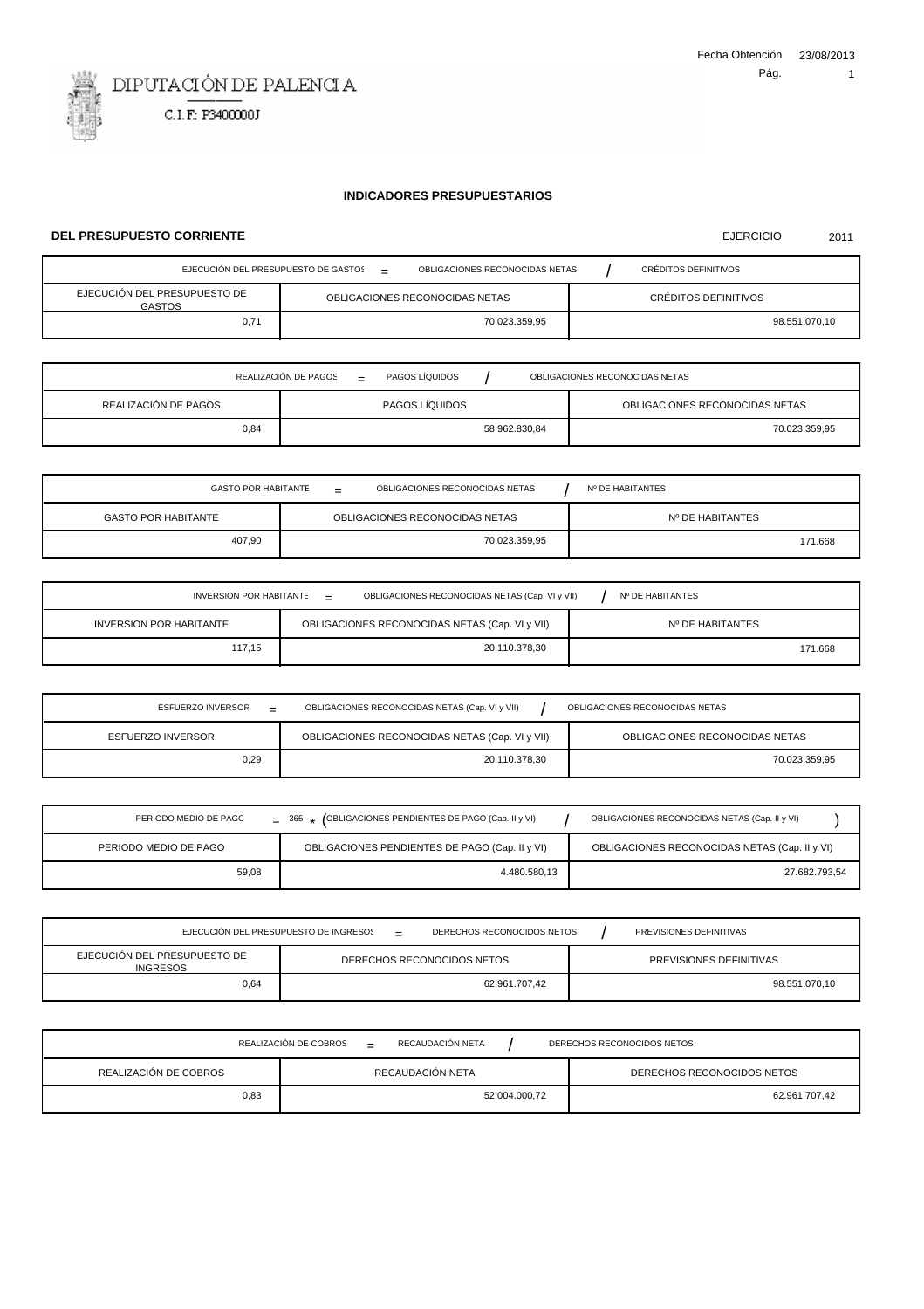EJERCICIO 2011



## **INDICADORES PRESUPUESTARIOS**

#### **DEL PRESUPUESTO CORRIENTE**

| EJECUCIÓN DEL PRESUPUESTO DE GASTOS<br>CRÉDITOS DEFINITIVOS<br>OBLIGACIONES RECONOCIDAS NETAS<br>$\overline{\phantom{a}}$ |                                |                      |  |
|---------------------------------------------------------------------------------------------------------------------------|--------------------------------|----------------------|--|
| EJECUCIÓN DEL PRESUPUESTO DE<br><b>GASTOS</b>                                                                             | OBLIGACIONES RECONOCIDAS NETAS | CRÉDITOS DEFINITIVOS |  |
| 0.71                                                                                                                      | 70.023.359,95                  | 98.551.070,10        |  |

|                      | REALIZACIÓN DE PAGOS<br>PAGOS LÍQUIDOS<br>$=$ |               | OBLIGACIONES RECONOCIDAS NETAS |
|----------------------|-----------------------------------------------|---------------|--------------------------------|
| REALIZACIÓN DE PAGOS | PAGOS LÍQUIDOS                                |               | OBLIGACIONES RECONOCIDAS NETAS |
| 0,84                 |                                               | 58.962.830,84 | 70.023.359,95                  |

| OBLIGACIONES RECONOCIDAS NETAS<br><b>GASTO POR HABITANTE</b><br>Nº DE HABITANTES<br>$=$ |                                |                  |
|-----------------------------------------------------------------------------------------|--------------------------------|------------------|
| <b>GASTO POR HABITANTE</b>                                                              | OBLIGACIONES RECONOCIDAS NETAS | Nº DE HABITANTES |
| 407,90                                                                                  | 70.023.359,95                  | 171.668          |

| OBLIGACIONES RECONOCIDAS NETAS (Cap. VI y VII)<br>INVERSION POR HABITANTE<br>Nº DE HABITANTES<br>$=$ |                                                |                  |
|------------------------------------------------------------------------------------------------------|------------------------------------------------|------------------|
| INVERSION POR HABITANTE                                                                              | OBLIGACIONES RECONOCIDAS NETAS (Cap. VI y VII) | Nº DE HABITANTES |
| 117.15                                                                                               | 20.110.378,30                                  | 171.668          |

| ESFUERZO INVERSOR<br>$\overline{\phantom{0}}$ | OBLIGACIONES RECONOCIDAS NETAS (Cap. VI y VII) | OBLIGACIONES RECONOCIDAS NETAS |
|-----------------------------------------------|------------------------------------------------|--------------------------------|
| <b>ESFUERZO INVERSOR</b>                      | OBLIGACIONES RECONOCIDAS NETAS (Cap. VI y VII) | OBLIGACIONES RECONOCIDAS NETAS |
| 0,29                                          | 20.110.378.30                                  | 70.023.359.95                  |

| PERIODO MEDIO DE PAGO | $=$ 365 $\star$ (OBLIGACIONES PENDIENTES DE PAGO (Cap. II y VI) | OBLIGACIONES RECONOCIDAS NETAS (Cap. II y VI) |
|-----------------------|-----------------------------------------------------------------|-----------------------------------------------|
| PERIODO MEDIO DE PAGO | OBLIGACIONES PENDIENTES DE PAGO (Cap. II y VI)                  | OBLIGACIONES RECONOCIDAS NETAS (Cap. II y VI) |
| 59,08                 | 4.480.580.13                                                    | 27.682.793,54                                 |

| EJECUCIÓN DEL PRESUPUESTO DE INGRESOS<br>DERECHOS RECONOCIDOS NETOS<br>PREVISIONES DEFINITIVAS<br>$=$ |               |                         |  |
|-------------------------------------------------------------------------------------------------------|---------------|-------------------------|--|
| EJECUCIÓN DEL PRESUPUESTO DE<br>DERECHOS RECONOCIDOS NETOS<br><b>INGRESOS</b>                         |               | PREVISIONES DEFINITIVAS |  |
| 0,64                                                                                                  | 62.961.707.42 | 98.551.070,10           |  |

|                       | REALIZACIÓN DE COBROS<br>RECAUDACIÓN NETA<br>$=$ | DERECHOS RECONOCIDOS NETOS |
|-----------------------|--------------------------------------------------|----------------------------|
| REALIZACIÓN DE COBROS | RECAUDACIÓN NETA                                 | DERECHOS RECONOCIDOS NETOS |
| 0.83                  | 52.004.000,72                                    | 62.961.707.42              |